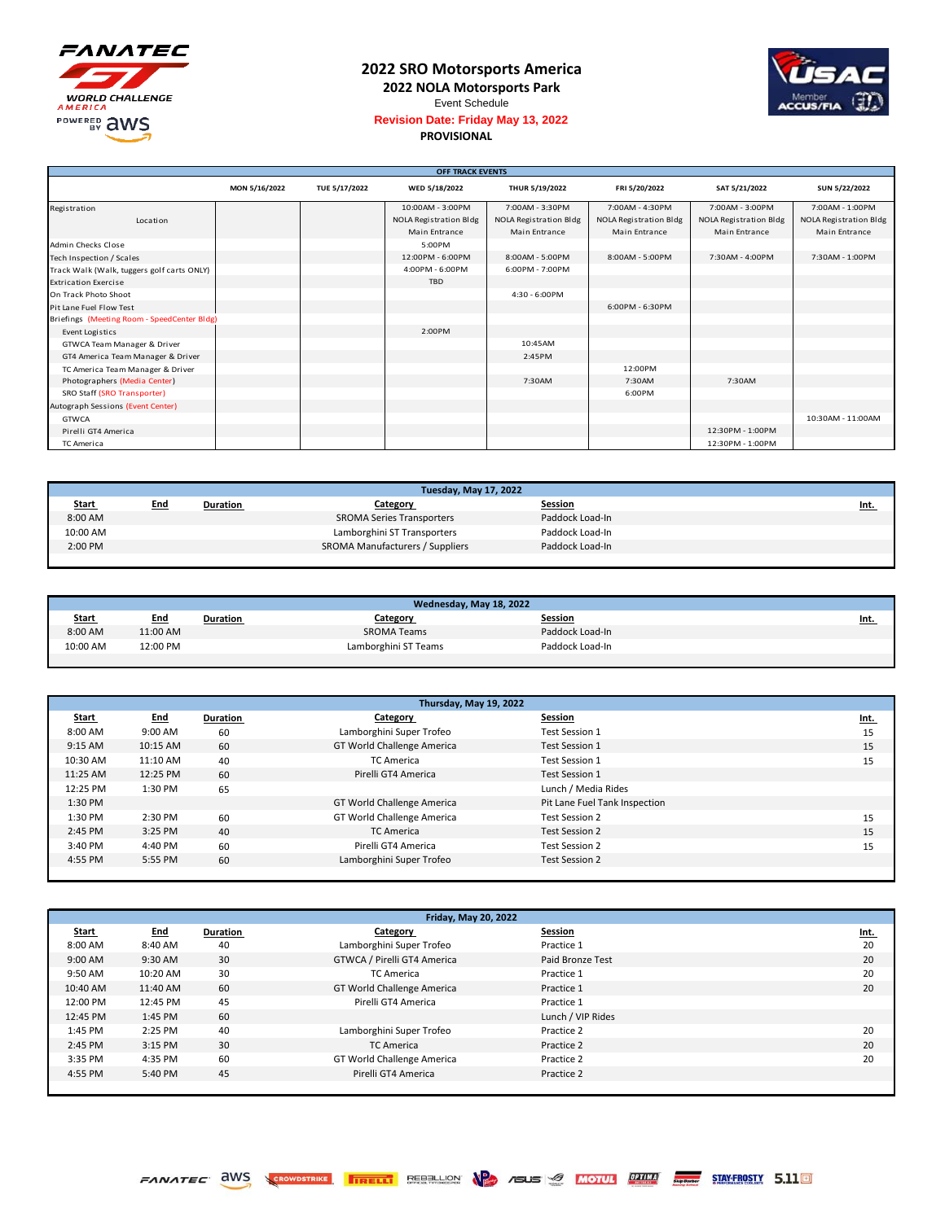

## **2022 SRO Motorsports America**

**2022 NOLA Motorsports Park**



Event Schedule **Revision Date: Friday May 13, 2022**

## **PROVISIONAL**

|                                             | <b>OFF TRACK EVENTS</b> |               |                        |                        |                        |                        |                        |
|---------------------------------------------|-------------------------|---------------|------------------------|------------------------|------------------------|------------------------|------------------------|
|                                             | MON 5/16/2022           | TUE 5/17/2022 | WED 5/18/2022          | THUR 5/19/2022         | FRI 5/20/2022          | SAT 5/21/2022          | SUN 5/22/2022          |
| Registration                                |                         |               | 10:00AM - 3:00PM       | 7:00AM - 3:30PM        | 7:00AM - 4:30PM        | 7:00AM - 3:00PM        | 7:00AM - 1:00PM        |
| Location                                    |                         |               | NOLA Registration Bldg | NOLA Registration Bldg | NOLA Registration Bldg | NOLA Registration Bldg | NOLA Registration Bldg |
|                                             |                         |               | Main Entrance          | Main Entrance          | Main Entrance          | Main Entrance          | Main Entrance          |
| Admin Checks Close                          |                         |               | 5:00PM                 |                        |                        |                        |                        |
| Tech Inspection / Scales                    |                         |               | 12:00PM - 6:00PM       | 8:00AM - 5:00PM        | 8:00AM - 5:00PM        | 7:30AM - 4:00PM        | 7:30AM - 1:00PM        |
| Track Walk (Walk, tuggers golf carts ONLY)  |                         |               | 4:00PM - 6:00PM        | 6:00PM - 7:00PM        |                        |                        |                        |
| <b>Extrication Exercise</b>                 |                         |               | <b>TBD</b>             |                        |                        |                        |                        |
| On Track Photo Shoot                        |                         |               |                        | $4:30 - 6:00$ PM       |                        |                        |                        |
| Pit Lane Fuel Flow Test                     |                         |               |                        |                        | 6:00PM - 6:30PM        |                        |                        |
| Briefings (Meeting Room - SpeedCenter Bldg) |                         |               |                        |                        |                        |                        |                        |
| Event Logistics                             |                         |               | 2:00PM                 |                        |                        |                        |                        |
| GTWCA Team Manager & Driver                 |                         |               |                        | 10:45AM                |                        |                        |                        |
| GT4 America Team Manager & Driver           |                         |               |                        | 2:45PM                 |                        |                        |                        |
| TC America Team Manager & Driver            |                         |               |                        |                        | 12:00PM                |                        |                        |
| Photographers (Media Center)                |                         |               |                        | 7:30AM                 | 7:30AM                 | 7:30AM                 |                        |
| SRO Staff (SRO Transporter)                 |                         |               |                        |                        | 6:00PM                 |                        |                        |
| Autograph Sessions (Event Center)           |                         |               |                        |                        |                        |                        |                        |
| <b>GTWCA</b>                                |                         |               |                        |                        |                        |                        | 10:30AM - 11:00AM      |
| Pirelli GT4 America                         |                         |               |                        |                        |                        | 12:30PM - 1:00PM       |                        |
| TC America                                  |                         |               |                        |                        |                        | 12:30PM - 1:00PM       |                        |

| <b>Tuesday, May 17, 2022</b> |            |          |                                  |                 |             |
|------------------------------|------------|----------|----------------------------------|-----------------|-------------|
| <b>Start</b>                 | <b>End</b> | Duration | Category                         | Session         | <u>Int.</u> |
| 8:00 AM                      |            |          | <b>SROMA Series Transporters</b> | Paddock Load-In |             |
| 10:00 AM                     |            |          | Lamborghini ST Transporters      | Paddock Load-In |             |
| 2:00 PM                      |            |          | SROMA Manufacturers / Suppliers  | Paddock Load-In |             |
|                              |            |          |                                  |                 |             |

| Wednesday, May 18, 2022 |            |                 |                      |                 |             |
|-------------------------|------------|-----------------|----------------------|-----------------|-------------|
| <b>Start</b>            | <u>End</u> | <b>Duration</b> | Category             | Session         | <u>Int.</u> |
| 8:00 AM                 | 11:00 AM   |                 | <b>SROMA Teams</b>   | Paddock Load-In |             |
| 10:00 AM                | 12:00 PM   |                 | Lamborghini ST Teams | Paddock Load-In |             |
|                         |            |                 |                      |                 |             |

| Thursday, May 19, 2022 |            |          |                            |                               |      |  |
|------------------------|------------|----------|----------------------------|-------------------------------|------|--|
| <b>Start</b>           | <b>End</b> | Duration | Category                   | Session                       | Int. |  |
| 8:00 AM                | 9:00 AM    | 60       | Lamborghini Super Trofeo   | Test Session 1                | 15   |  |
| 9:15 AM                | 10:15 AM   | 60       | GT World Challenge America | Test Session 1                | 15   |  |
| 10:30 AM               | 11:10 AM   | 40       | TC America                 | Test Session 1                | 15   |  |
| 11:25 AM               | 12:25 PM   | 60       | Pirelli GT4 America        | Test Session 1                |      |  |
| 12:25 PM               | 1:30 PM    | 65       |                            | Lunch / Media Rides           |      |  |
| 1:30 PM                |            |          | GT World Challenge America | Pit Lane Fuel Tank Inspection |      |  |
| 1:30 PM                | 2:30 PM    | 60       | GT World Challenge America | Test Session 2                | 15   |  |
| 2:45 PM                | 3:25 PM    | 40       | <b>TC America</b>          | Test Session 2                | 15   |  |
| 3:40 PM                | 4:40 PM    | 60       | Pirelli GT4 America        | Test Session 2                | 15   |  |
| 4:55 PM                | 5:55 PM    | 60       | Lamborghini Super Trofeo   | Test Session 2                |      |  |
|                        |            |          |                            |                               |      |  |

| Friday, May 20, 2022 |            |          |                             |                   |             |  |
|----------------------|------------|----------|-----------------------------|-------------------|-------------|--|
| <b>Start</b>         | <b>End</b> | Duration | Category                    | Session           | <u>Int.</u> |  |
| 8:00 AM              | 8:40 AM    | 40       | Lamborghini Super Trofeo    | Practice 1        | 20          |  |
| 9:00 AM              | 9:30 AM    | 30       | GTWCA / Pirelli GT4 America | Paid Bronze Test  | 20          |  |
| 9:50 AM              | 10:20 AM   | 30       | <b>TC America</b>           | Practice 1        | 20          |  |
| 10:40 AM             | 11:40 AM   | 60       | GT World Challenge America  | Practice 1        | 20          |  |
| 12:00 PM             | 12:45 PM   | 45       | Pirelli GT4 America         | Practice 1        |             |  |
| 12:45 PM             | 1:45 PM    | 60       |                             | Lunch / VIP Rides |             |  |
| 1:45 PM              | 2:25 PM    | 40       | Lamborghini Super Trofeo    | Practice 2        | 20          |  |
| 2:45 PM              | 3:15 PM    | 30       | TC America                  | Practice 2        | 20          |  |
| 3:35 PM              | 4:35 PM    | 60       | GT World Challenge America  | Practice 2        | 20          |  |
| 4:55 PM              | 5:40 PM    | 45       | Pirelli GT4 America         | Practice 2        |             |  |
|                      |            |          |                             |                   |             |  |